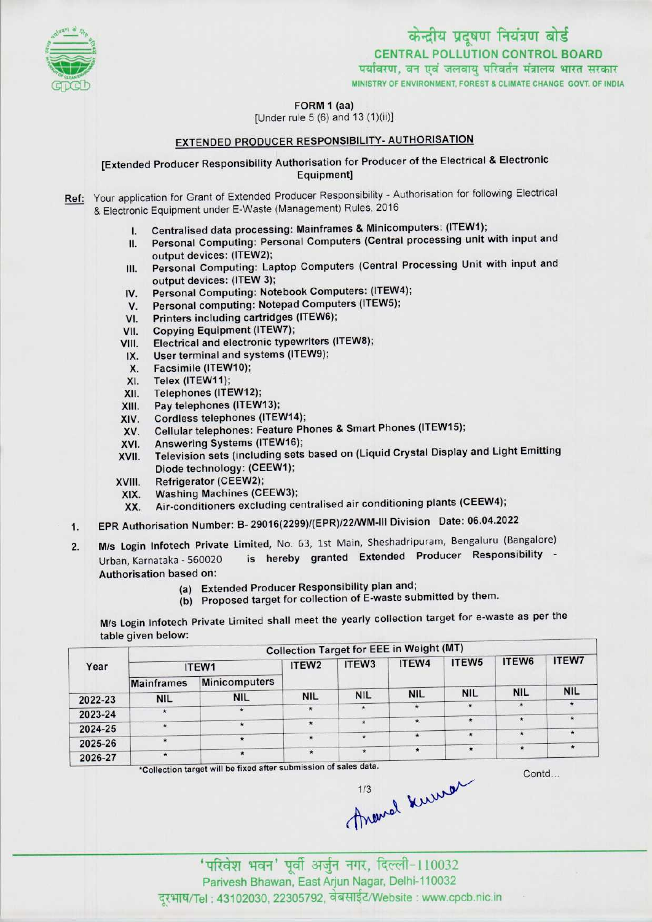

# केन्द्रीय प्रदूषण नियंत्रण बोर्ड CENTRAL POLLUTION CONTROL BOARD<br>पर्यावरण, वन एवं जलवाय परिवर्तन मंत्रालय भारत सरकार

MINISTRY OF ENVIRONMENT, FOREST A CLIMATE CHANGE GOVT. OF INDIA

FORM 1 (aa)

[Under rule 5 (6) and 13(1)(ii)]

## EXTENDED PRODUCER RESPONSIBILITY- AUTHORISATION

[Extended Producer Responsibility Authorisation for Producer of the Electrical & Electronic Equipment]

Ref: Your application for Grant of Extended Producer Responsibility - Authorisation for following Electrical & Electronic Equipment under E-Waste (Management) Rules, 2016

- 1. Centralised data processing: Mainframes & Minicomputers: (ITEW1);
- II. Personal Computing: Personal Computers (Central processing unit with input and output devices: (ITEW2);
- III. Personal Computing: Laptop Computers (Central Processing Unit with input and output devices: (ITEW 3); III. Personal Computing: Laptop Computers (Central Protection)<br>| output devices: (ITEW 3);<br>| IV. Personal Computing: Notebook Computers: (ITEW4);
- output devices: (ITEW 3);<br>V. Personal Computing: Notebook Computers: (ITEW<br>V. Personal computing: Notepad Computers (ITEW5);
- IV. Personal Computing: Notebook Computers: (ITEW4<br>V. Personal computing: Notepad Computers (ITEW5);<br>VI. Printers including cartridges (ITEW6);<br>VII. Copying Equipment (ITEW7);
- 
- 
- VII. Copying Equipment (ITEW7);<br>VIII. Electrical and electronic type VII. Copying Equipment (ITEW7);<br>VIII. Electrical and electronic typewriters (ITEW8);<br>IX. User terminal and systems (ITEW9);
- IX. User terminal and systems (ITEW9);<br>X. Facsimile (ITEW10);<br>XI. Telex (ITEW11);
- X. Facsimile (ITEW10);<br>XI. Telex (ITEW11);<br>XII. Telephones (ITEW12
- 
- XII. Telephones (ITEW12);<br>XIII. Pay telephones (ITEW
- XIII. Pay telephones (ITEW13);<br>XIV. Cordless telephones (ITE)
- 
- XIV. Cordless telephones (ITEW14);<br>XV. Cellular telephones: Feature Ph XIV. Cellular telephones: Feature Phones & Smart Phones (ITEW15);<br>XVI. Answering Systems (ITEW16);<br>XVI. Answering Systems (ITEW16);
- 
- XVI. Answering Systems (ITEW16);<br>XVII. Television sets (including sets based on (Liquid Crystal Display and Light Emitting Diode technology: (CEEW1);
- 
- XVIII. Refrigerator (CEEW2); XIX. Washing Machines (CEEW3);<br>XX. Air-conditioners excluding ce
	- Air-conditioners excluding centralised air conditioning plants (CEEW4);
- 1.EPR Authorisation Number: B- 29016(2299)/(EPR)/22/WM-lll Division Date: 06.04.2022
- 2. M/s Login Infotech Private Limited, No. 63, 1st Main, Sheshadripuram, Bengaluru (Bangalore)<br>2. M/s Login Infotech Private Limited, No. 63, 1st Main, Sheshadripuram, Bengaluru (Bangalore) M/s Login Infotech Private Limited, No. 63, Ist Main, Snesnadripurani, Bengaldra (Bangalore)<br>Urban Karnataka - 560020 is hereby granted Extended Producer Responsibility Urban, Karnataka - 560020<br>Authorisation based on:
	- (a) Extended Producer Responsibility plan and;
	- (b) Proposed target for collection of E-waste submitted by them.

M/s Login Infotech Private Limited shall meet the yearly collection target for e-waste as per the table given below:

|         | <b>Collection Target for EEE in Weight (MT)</b> |                      |                                                                                                                            |            |            |                          |                          |              |  |  |
|---------|-------------------------------------------------|----------------------|----------------------------------------------------------------------------------------------------------------------------|------------|------------|--------------------------|--------------------------|--------------|--|--|
| Year    | ITEW1                                           |                      | ITEW <sub>2</sub>                                                                                                          | ITEW3      | ITEW4      | ITEW <sub>5</sub>        | ITEW6                    | <b>ITEW7</b> |  |  |
|         | <b>Mainframes</b>                               | <b>Minicomputers</b> |                                                                                                                            |            |            |                          |                          |              |  |  |
| 2022-23 | <b>NIL</b>                                      | <b>NIL</b>           | <b>NIL</b>                                                                                                                 | <b>NIL</b> | <b>NIL</b> | <b>NIL</b>               | <b>NIL</b>               | <b>NIL</b>   |  |  |
|         |                                                 | $\star$              | $\star$                                                                                                                    |            |            | $\star$                  | $\star$                  |              |  |  |
| 2023-24 |                                                 |                      |                                                                                                                            |            |            | $\star$                  | $\star$                  |              |  |  |
| 2024-25 | $\star$                                         |                      | $\star$                                                                                                                    | $\star$    | $\star$    |                          |                          |              |  |  |
|         |                                                 | $\star$              | $\star$                                                                                                                    | $\star$    |            | $\mathcal{N}$<br>$\star$ | $\pmb{\star}$<br>$\star$ | $\star$      |  |  |
| 2025-26 |                                                 |                      |                                                                                                                            |            |            |                          |                          |              |  |  |
| 2026-27 | $\star$                                         |                      | $\star$<br>the contract of the contract of the contract of the contract of the contract of the contract of the contract of | $\star$    | $\star$    |                          |                          |              |  |  |

\*Collection target will be fixed after submission of sales data.

Contd...

' परिवेश भवन' पूर्वी अर्जुन नगर, दिल्ली-110032 Parivesh Bhawan, East Arjun Nagar, Delhi-110032 दरभाष/Tel : 43102030, 22305792, वेबसाईट/Website : www.cpcb.nic.in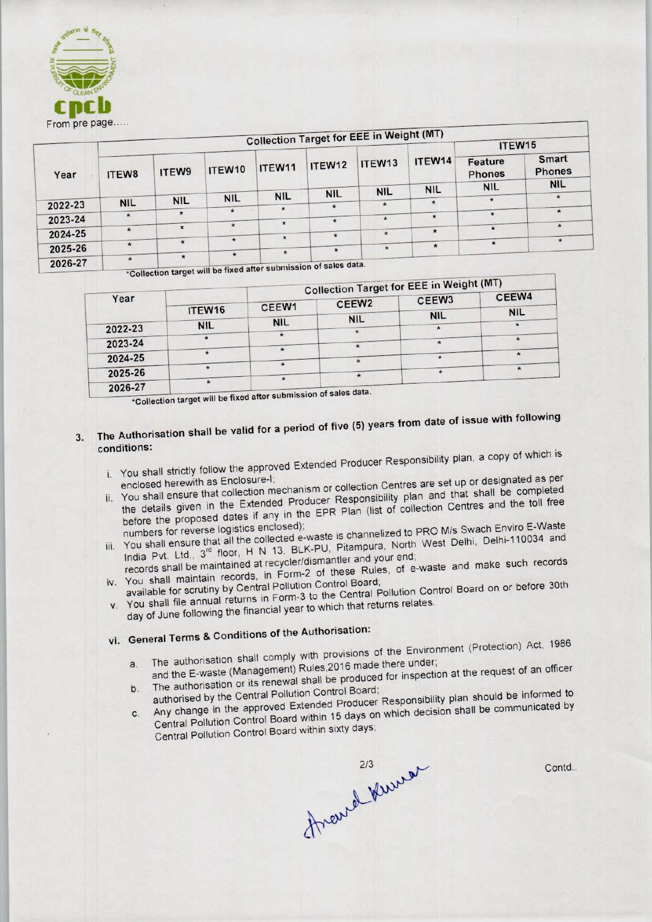

| $110111$ $P^2$ |            |            |              |                                                                                                                                                                                                                                                                                                                     |            | <b>Collection Target for EEE in Weight (MT)</b> |                      |                                        |                        |
|----------------|------------|------------|--------------|---------------------------------------------------------------------------------------------------------------------------------------------------------------------------------------------------------------------------------------------------------------------------------------------------------------------|------------|-------------------------------------------------|----------------------|----------------------------------------|------------------------|
|                |            |            |              |                                                                                                                                                                                                                                                                                                                     | ITEW12     | ITEW13<br><b>NIL</b>                            | ITEW14<br><b>NIL</b> | ITEW15                                 |                        |
| Year           | ITEW8      | ITEW9      | ITEW10       | ITEW11                                                                                                                                                                                                                                                                                                              |            |                                                 |                      | Feature<br><b>Phones</b><br><b>NIL</b> | Smart<br><b>Phones</b> |
|                |            |            |              |                                                                                                                                                                                                                                                                                                                     |            |                                                 |                      |                                        | <b>NIL</b>             |
|                | <b>NIL</b> | <b>NIL</b> | <b>NIL</b>   | <b>NIL</b>                                                                                                                                                                                                                                                                                                          | <b>NIL</b> |                                                 |                      |                                        |                        |
| 2022-23        |            |            | $\star$      |                                                                                                                                                                                                                                                                                                                     |            | $\star$                                         | $\star$              |                                        |                        |
| 2023-24        |            |            |              |                                                                                                                                                                                                                                                                                                                     | $\star$    |                                                 | $\star$              | $\star$                                | 声                      |
|                | $\star$    | $\star$    | $\star$      | $\star$                                                                                                                                                                                                                                                                                                             |            |                                                 |                      | $\star$                                | ÷                      |
| 2024-25        |            |            |              | $\star$                                                                                                                                                                                                                                                                                                             |            | $\star$                                         | $\star$              |                                        |                        |
|                |            | $\star$    | $\star$      |                                                                                                                                                                                                                                                                                                                     |            |                                                 | $\star$              |                                        |                        |
| 2025-26        |            |            | $\star$<br>大 | $\star$                                                                                                                                                                                                                                                                                                             |            |                                                 |                      |                                        |                        |
| 2026-27        | ☀.         |            |              | $\frac{1}{2}$ $\frac{1}{2}$ $\frac{1}{2}$ $\frac{1}{2}$ $\frac{1}{2}$ $\frac{1}{2}$ $\frac{1}{2}$ $\frac{1}{2}$ $\frac{1}{2}$ $\frac{1}{2}$ $\frac{1}{2}$ $\frac{1}{2}$ $\frac{1}{2}$ $\frac{1}{2}$ $\frac{1}{2}$ $\frac{1}{2}$ $\frac{1}{2}$ $\frac{1}{2}$ $\frac{1}{2}$ $\frac{1}{2}$ $\frac{1}{2}$ $\frac{1}{2}$ |            |                                                 |                      |                                        |                        |

**Follection target will be fixed after submission of sales data** 

| the control of the control of the control of the control of the control of the control of the control of the control of the control of the control of the control of the control of the control of the control of the control |            |            |                   | <b>Collection Target for EEE in Weight (MT)</b> |              |
|-------------------------------------------------------------------------------------------------------------------------------------------------------------------------------------------------------------------------------|------------|------------|-------------------|-------------------------------------------------|--------------|
| Year                                                                                                                                                                                                                          |            |            | CEEW <sub>2</sub> |                                                 | CEEW4        |
|                                                                                                                                                                                                                               | ITEW16     | CEEW1      |                   | <b>NIL</b>                                      | <b>NIL</b>   |
| 2022-23                                                                                                                                                                                                                       | <b>NIL</b> | <b>NIL</b> | <b>NIL</b>        |                                                 | $\pmb{\ast}$ |
| 2023-24                                                                                                                                                                                                                       |            |            |                   |                                                 |              |
| 2024-25                                                                                                                                                                                                                       |            |            |                   |                                                 |              |
| 2025-26                                                                                                                                                                                                                       |            |            |                   |                                                 |              |
| 2026-27                                                                                                                                                                                                                       |            |            |                   |                                                 |              |

27 **Figure 12 and 20 Year 20 a** fixed after submission of sales data.

# The Authorisation shall be valid for a period of five (5) years from date of issue with following  $3.$ conditions:

- i. You shall strictly follow the approved Extended Producer Responsibility plan, a copy of which is i. You shall strictly follow the missing term in the strict of the strict of the strict of the strict of the strict of the strict of the strict of the strict of the strict of the strict of the strict of the strict of the s
- enclosed herewith as Enclosure in the details or collection Centres are set up or designated Bridger.
- the details given in the Extended Producer Responsibility plan and that shall be completed<br>before the proposed dates if any in the EPR Plan (list of collection Centres and the toll free is before the proposed date of the molecules.<br>- waste in the second to PRO M/s Swach Enviro E-Waste
- Indian Pumbers for reverse logistics enclosed,<br>Not be all ensure that all the collected e-waste is channelized to PRO M/s Swach Enviro E-West India Pvt. Ltd.,  $3^{rd}$  floor, H N 13, BLK-PU, Pitampura, North West Delhi, Delhi-110034 and records shall be maintained at recycler/dismantler and your end;
- india Pyt. Ltd., 3<sup>-</sup> floor, in Form-2, but the and your end;<br>coords shall be maintained at recycler/dismantler and your end; e-waste and make such records
- You shall maintain records, in Form-2 of these Board; v. You shall maintain records, in Form-<br>example for scrutiny by Central Pollution Control Board Control Board on or before 30th You shall file annual returns in Form-3 to the Gennar Following relates.
- day of June following the financial year to which that returns relates.<br>vi. General Terms & Conditions of the Authorisation:

- General Terms & Conditions of the Authorisation:<br>havith provisions of the Environment (Protection) Act, 1986 a. The authorisation shall comply with provisions of the Environment (Frotection, 1999)<br>and the E-waste (Management) Rules, 2016 made there under;
- 
- and the E-waste (Management) Rules, 2016 made there under;<br>The authorisation or its renewal shall be produced for inspection at the request of an officer<br>authorised by the Central Pollution Control Board;<br>Any change in the b. The authorisation of its reflection Control Board;<br>authorised by the Central Pollution Control Board; authorised by the Schneithern Extended Producer Responsibility plan should be interested by  $C.$
- 

Central Pollution Control Board within sixty days;

Contd..